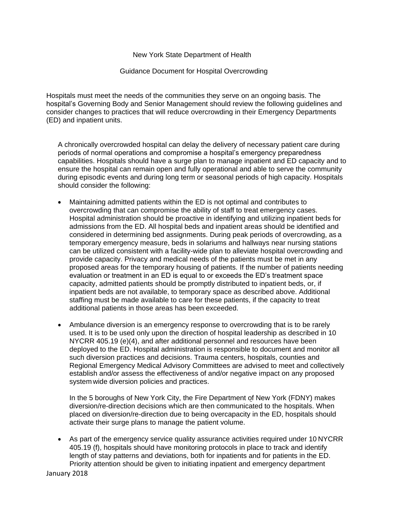## New York State Department of Health

## Guidance Document for Hospital Overcrowding

Hospitals must meet the needs of the communities they serve on an ongoing basis. The hospital's Governing Body and Senior Management should review the following guidelines and consider changes to practices that will reduce overcrowding in their Emergency Departments (ED) and inpatient units.

A chronically overcrowded hospital can delay the delivery of necessary patient care during periods of normal operations and compromise a hospital's emergency preparedness capabilities. Hospitals should have a surge plan to manage inpatient and ED capacity and to ensure the hospital can remain open and fully operational and able to serve the community during episodic events and during long term or seasonal periods of high capacity. Hospitals should consider the following:

- Maintaining admitted patients within the ED is not optimal and contributes to overcrowding that can compromise the ability of staff to treat emergency cases. Hospital administration should be proactive in identifying and utilizing inpatient beds for admissions from the ED. All hospital beds and inpatient areas should be identified and considered in determining bed assignments. During peak periods of overcrowding, as a temporary emergency measure, beds in solariums and hallways near nursing stations can be utilized consistent with a facility-wide plan to alleviate hospital overcrowding and provide capacity. Privacy and medical needs of the patients must be met in any proposed areas for the temporary housing of patients. If the number of patients needing evaluation or treatment in an ED is equal to or exceeds the ED's treatment space capacity, admitted patients should be promptly distributed to inpatient beds, or, if inpatient beds are not available, to temporary space as described above. Additional staffing must be made available to care for these patients, if the capacity to treat additional patients in those areas has been exceeded.
- Ambulance diversion is an emergency response to overcrowding that is to be rarely used. It is to be used only upon the direction of hospital leadership as described in 10 NYCRR 405.19 (e)(4), and after additional personnel and resources have been deployed to the ED. Hospital administration is responsible to document and monitor all such diversion practices and decisions. Trauma centers, hospitals, counties and Regional Emergency Medical Advisory Committees are advised to meet and collectively establish and/or assess the effectiveness of and/or negative impact on any proposed system wide diversion policies and practices.

In the 5 boroughs of New York City, the Fire Department of New York (FDNY) makes diversion/re-direction decisions which are then communicated to the hospitals. When placed on diversion/re-direction due to being overcapacity in the ED, hospitals should activate their surge plans to manage the patient volume.

• As part of the emergency service quality assurance activities required under 10 NYCRR 405.19 (f), hospitals should have monitoring protocols in place to track and identify length of stay patterns and deviations, both for inpatients and for patients in the ED. Priority attention should be given to initiating inpatient and emergency department

January 2018